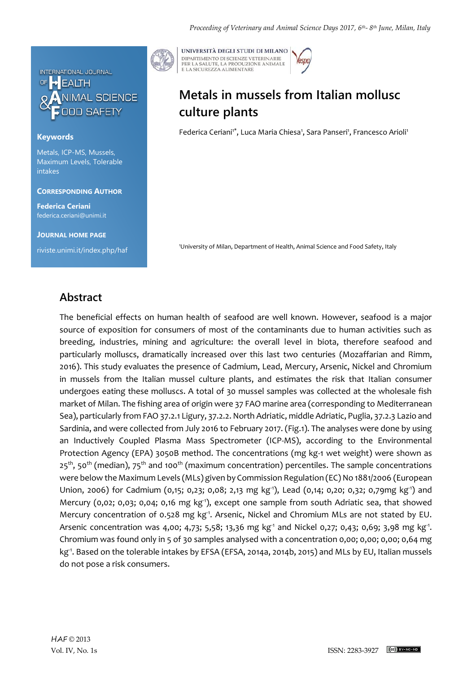

### **Keywords**

Metals, ICP-MS, Mussels, Maximum Levels, Tolerable intakes

#### **CORRESPONDING AUTHOR**

**Federica Ceriani** federica.ceriani@unimi.it

**JOURNAL HOME PAGE** riviste.unimi.it/index.php/haf



UNIVERSITÀ DEGLI STUDI DI MILANO DIPARTIMENTO DI SCIENZE VETERINARIE PER LA SALUTE, LA PRODUZIONE ANIMALE<br>E LA SICUREZZA ALIMENTARE

# **Metals in mussels from Italian mollusc culture plants**

Federica Ceriani<sup>1\*</sup>, Luca Maria Chiesa<sup>1</sup>, Sara Panseri<sup>1</sup>, Francesco Arioli<sup>1</sup>

<sup>1</sup>University of Milan, Department of Health, Animal Science and Food Safety, Italy

## **Abstract**

The beneficial effects on human health of seafood are well known. However, seafood is a major source of exposition for consumers of most of the contaminants due to human activities such as breeding, industries, mining and agriculture: the overall level in biota, therefore seafood and particularly molluscs, dramatically increased over this last two centuries (Mozaffarian and Rimm, 2016). This study evaluates the presence of Cadmium, Lead, Mercury, Arsenic, Nickel and Chromium in mussels from the Italian mussel culture plants, and estimates the risk that Italian consumer undergoes eating these molluscs. A total of 30 mussel samples was collected at the wholesale fish market of Milan. The fishing area of origin were 37 FAO marine area (corresponding to Mediterranean Sea), particularly from FAO 37.2.1 Ligury, 37.2.2. North Adriatic, middle Adriatic, Puglia, 37.2.3 Lazio and Sardinia, and were collected from July 2016 to February 2017. (Fig.1). The analyses were done by using an Inductively Coupled Plasma Mass Spectrometer (ICP-MS), according to the Environmental Protection Agency (EPA) 3050B method. The concentrations (mg kg-1 wet weight) were shown as  $25<sup>th</sup>$ , 50<sup>th</sup> (median), 75<sup>th</sup> and 100<sup>th</sup> (maximum concentration) percentiles. The sample concentrations were below the Maximum Levels (MLs) given by Commission Regulation (EC) No 1881/2006 (European Union, 2006) for Cadmium (0,15; 0,23; 0,08; 2,13 mg kg<sup>-1</sup>), Lead (0,14; 0,20; 0,32; 0,79mg kg<sup>-1</sup>) and Mercury (0,02; 0,03; 0,04; 0,16 mg kg<sup>-1</sup>), except one sample from south Adriatic sea, that showed Mercury concentration of 0.528 mg kg<sup>-1</sup>. Arsenic, Nickel and Chromium MLs are not stated by EU. Arsenic concentration was 4,00; 4,73; 5,58; 13,36 mg kg<sup>-1</sup> and Nickel 0,27; 0,43; 0,69; 3,98 mg kg<sup>-1</sup>. Chromium was found only in 5 of 30 samples analysed with a concentration 0,00; 0,00; 0,00; 0,64 mg kg-1 . Based on the tolerable intakes by EFSA (EFSA, 2014a, 2014b, 2015) and MLs by EU, Italian mussels do not pose a risk consumers.